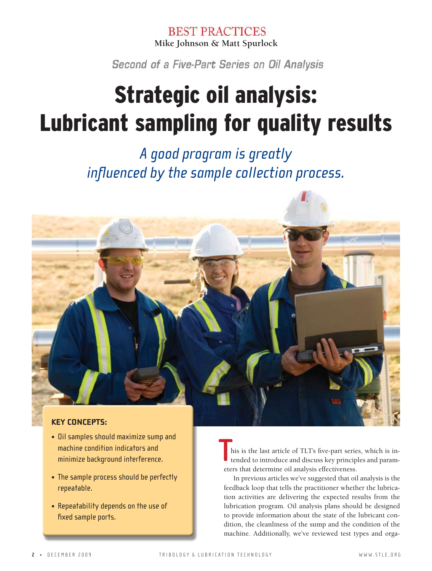**BEST PRACTICES** Mike Johnson & Matt Spurlock

Second of a Five-Part Series on Oil Analysis

# **Strategic oil analysis: Lubricant sampling for quality results**

A good program is greatly influenced by the sample collection process.



#### **KEY CONCEPTS:**

- . Oil samples should maximize sump and machine condition indicators and minimize background interference.
- The sample process should be perfectly repeatable.
- Repeatability depends on the use of fixed sample ports.

his is the last article of TLT's five-part series, which is intended to introduce and discuss key principles and parameters that determine oil analysis effectiveness.

In previous articles we've suggested that oil analysis is the feedback loop that tells the practitioner whether the lubrication activities are delivering the expected results from the lubrication program. Oil analysis plans should be designed to provide information about the state of the lubricant condition, the cleanliness of the sump and the condition of the machine. Additionally, we've reviewed test types and orga-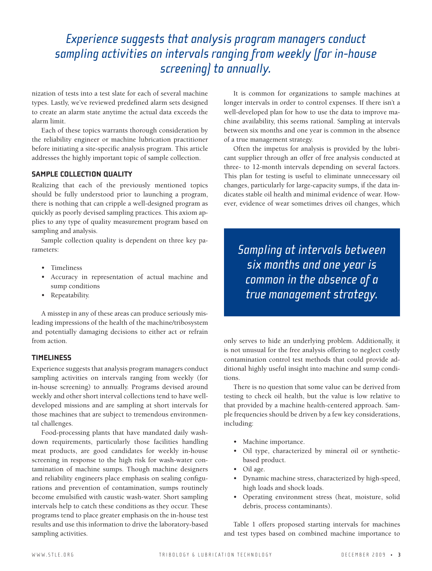## *Experience suggests that analysis program managers conduct sampling activities on intervals ranging from weekly (for in-house screening) to annually.*

nization of tests into a test slate for each of several machine types. Lastly, we've reviewed predefined alarm sets designed to create an alarm state anytime the actual data exceeds the alarm limit.

Each of these topics warrants thorough consideration by the reliability engineer or machine lubrication practitioner before initiating a site-specific analysis program. This article addresses the highly important topic of sample collection.

#### **SAMPLE COLLECTION QUALITY**

Realizing that each of the previously mentioned topics should be fully understood prior to launching a program, there is nothing that can cripple a well-designed program as quickly as poorly devised sampling practices. This axiom applies to any type of quality measurement program based on sampling and analysis.

Sample collection quality is dependent on three key parameters:

- Timeliness
- Accuracy in representation of actual machine and sump conditions
- Repeatability.

A misstep in any of these areas can produce seriously misleading impressions of the health of the machine/tribosystem and potentially damaging decisions to either act or refrain from action.

#### **TIMELINESS**

Experience suggests that analysis program managers conduct sampling activities on intervals ranging from weekly (for in-house screening) to annually. Programs devised around weekly and other short interval collections tend to have welldeveloped missions and are sampling at short intervals for those machines that are subject to tremendous environmental challenges.

Food-processing plants that have mandated daily washdown requirements, particularly those facilities handling meat products, are good candidates for weekly in-house screening in response to the high risk for wash-water contamination of machine sumps. Though machine designers and reliability engineers place emphasis on sealing configurations and prevention of contamination, sumps routinely become emulsified with caustic wash-water. Short sampling intervals help to catch these conditions as they occur. These programs tend to place greater emphasis on the in-house test results and use this information to drive the laboratory-based sampling activities.

It is common for organizations to sample machines at longer intervals in order to control expenses. If there isn't a well-developed plan for how to use the data to improve machine availability, this seems rational. Sampling at intervals between six months and one year is common in the absence of a true management strategy.

Often the impetus for analysis is provided by the lubricant supplier through an offer of free analysis conducted at three- to 12-month intervals depending on several factors. This plan for testing is useful to eliminate unnecessary oil changes, particularly for large-capacity sumps, if the data indicates stable oil health and minimal evidence of wear. However, evidence of wear sometimes drives oil changes, which

*Sampling at intervals between six months and one year is common in the absence of a true management strategy.*

only serves to hide an underlying problem. Additionally, it is not unusual for the free analysis offering to neglect costly contamination control test methods that could provide additional highly useful insight into machine and sump conditions.

There is no question that some value can be derived from testing to check oil health, but the value is low relative to that provided by a machine health-centered approach. Sample frequencies should be driven by a few key considerations, including:

- Machine importance.
- Oil type, characterized by mineral oil or syntheticbased product.
- Oil age.
- Dynamic machine stress, characterized by high-speed, high loads and shock loads.
- Operating environment stress (heat, moisture, solid debris, process contaminants).

Table 1 offers proposed starting intervals for machines and test types based on combined machine importance to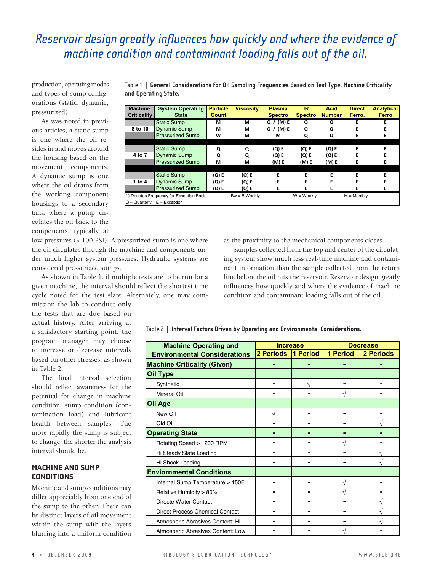#### *Reservoir design greatly influences how quickly and where the evidence of machine condition and contaminant loading falls out of the oil.* **!"#\$%&'"()'\*+,-.%&'/'0%1%2#%.'3%&4'5."14+1%&'**

production, operating modes and types of sump configurations (static, dynamic, pressurized).

As was noted in previous articles, a static sump is one where the oil resides in and moves around the housing based on the movement components. A dynamic sump is one where the oil drains from the working component housings to a secondary tank where a pump circulates the oil back to the components, typically at

low pressures (> 100 PSI). A pressurized sump is one where the oil circulates through the machine and components under much higher system pressures. Hydraulic systems are considered pressurized sumps.

As shown in Table 1, if multiple tests are to be run for a given machine, the interval should reflect the shortest time cycle noted for the test slate. Alternately, one may com-

mission the lab to conduct only the tests that are due based on actual history. After arriving at a satisfactory starting point, the program manager may choose to increase or decrease intervals based on other stresses, as shown in Table 2.

The final interval selection should reflect awareness for the potential for change in machine condition, sump condition (contamination load) and lubricant health between samples. The more rapidly the sump is subject to change, the shorter the analysis interval should be.

#### **MACHINE AND SUMP CONDITIONS**

Machine and sump conditions may differ appreciably from one end of the sump to the other. There can be distinct layers of oil movement within the sump with the layers blurring into a uniform condition

Table 1 | General Considerations for Oil Sampling Frequencies Based on Test Type, Machine Criticality  $\blacksquare$  and Operating State.

| <b>Machine</b><br><b>Criticality</b>     | <b>System Operating</b><br><b>State</b> | <b>Particle</b><br><b>Count</b> | <b>Viscosity</b> | <b>Plasma</b><br><b>Spectro</b> | <b>IR</b><br><b>Spectro</b> | <b>Acid</b><br><b>Number</b> | <b>Direct</b><br>Ferro. | <b>Analytical</b><br>Ferro |
|------------------------------------------|-----------------------------------------|---------------------------------|------------------|---------------------------------|-----------------------------|------------------------------|-------------------------|----------------------------|
|                                          | Static Sump                             | М                               | м                | (M) E<br>Q /                    | Q                           | Q                            | E                       | F                          |
| 8 to 10                                  | <b>Dynamic Sump</b>                     | м                               | м                | (M) E<br>Q $\prime$             | Q                           | O                            |                         |                            |
|                                          | <b>Pressurized Sump</b>                 | W                               | м                | м                               | Q                           | Q                            | F                       | E                          |
|                                          |                                         |                                 |                  |                                 |                             |                              |                         |                            |
|                                          | <b>Static Sump</b>                      | Q                               | Q                | (Q) E                           | $(Q)$ E                     | (Q) E                        | E                       | F                          |
| 4 to 7                                   | <b>Dynamic Sump</b>                     | Q                               | Q                | (Q) E                           | $(Q)$ E                     | $(Q)$ E                      | F                       | F                          |
|                                          | <b>Pressurized Sump</b>                 | м                               | м                | (M) E                           | (M) E                       | (M) E                        |                         |                            |
|                                          |                                         |                                 |                  |                                 |                             |                              |                         |                            |
|                                          | <b>Static Sump</b>                      | (Q) E                           | (Q) E            | F                               | F                           | E                            | F                       | F                          |
| 1 to 4                                   | <b>Dynamic Sump</b>                     | (Q) E                           | (Q) E            | F                               |                             | E                            | F                       |                            |
|                                          | <b>Pressurized Sump</b>                 | (Q) E                           | (Q) E            | F                               | F                           | E                            | F                       | Е                          |
| () Denotes Frequency for Exception Basis |                                         |                                 | $Bw = BiWeekly$  |                                 | $W = Weeklv$                |                              | $M =$ Monthly           |                            |
| $Q =$ Quarterly $E =$ Exception          |                                         |                                 |                  |                                 |                             |                              |                         |                            |

one where as the proximity to the mechanical **Components** closes.

**B"1C+(%' =@&4%2'<>%."4+(, 5".4+1\$% D+&1:&+4@ 5\$"&2" EF G1+) 0+.%14 G("\$@4+1"\$**

Static Sump **! ! "##\$##%!& ' " " ' ' I'4:'6J** Dynamic Sump **! ! "##\$##%!& ' " " ' '**

 $\blacksquare$  Samples collected from the top and center of the circulat- $\mathbf{H}$  are  $\mathbf{H}$  ing  $\mathbf{S}$  **g**  $\mathbf{S}$  are  $\mathbf{H}$  is  $\mathbf{H}$  and  $\mathbf{H}$  and  $\mathbf{H}$  and  $\mathbf{H}$   $\mathbf{H}$  is  $\mathbf{H}$  and  $\mathbf{H}$   $\mathbf{H}$  is  $\mathbf{H}$  and  $\mathbf{H}$   $\mathbf{H}$  and  $\mathbf{H}$   $\mathbf{H}$   $\mathbf{H}$   $\$ nant information than the sample collected from the return line before the oil hits the reservoir. Reservoir design greatly Synthetic **R ! R R** Static Sump **%"& ' %"& ' ' ' ' ' '** reflect the shortest time influences how quickly and where the evidence of machine Alternately, one may com-condition and contaminant loading falls out of the oil.  $\mu$ <sub>2</sub>  $\mu$ <sub>2</sub>  $\mu$ <sub>2</sub>  $\mu$ <sub>2</sub>  $\mu$ <sub>2</sub>  $\mu$ <sub>2</sub>  $\mu$ <sub>2</sub>  $\mu$ <sub>2</sub>  $\mu$ <sub>2</sub>  $\mu$ <sub>2</sub>  $\mu$ <sub>2</sub>  $\mu$ <sub>2</sub>  $\mu$ <sub>2</sub>  $\mu$ <sub>2</sub>  $\mu$ <sub>2</sub>  $\mu$ <sub>2</sub>  $\mu$ <sub>2</sub>  $\mu$ <sub>2</sub>  $\mu$ <sub>2</sub>  $\mu$ <sub>2</sub>  $\mu$ <sub>2</sub>  $\mu$ <sub>2</sub>  $\mu$ <sub>2</sub>  $\mu$ <sub>2</sub>  $\mu$ <sub>2</sub>  $\mu$ <sub>2</sub>  $\mu$ <sub>2</sub>  $\mu$ <sub>2</sub>  $\mathcal{D}$  denotes Frequency  $\mathcal{D}$ 

 $\frac{1}{16}$  Table 2 | Interval Factors Driven by Operating and Environmental Considerations.

**!"#\$%'M7'E(4%.N"\$'\*"14:.&'0.+N%('#@'<>%."4+(,'"()'O(N+.:(2%(4"\$'9:(&+)%."4+:(&7'**

| <b>Machine Operating and</b>           | <b>Increase</b> |          | <b>Decrease</b> |           |  |
|----------------------------------------|-----------------|----------|-----------------|-----------|--|
| <b>Environmental Considerations</b>    | 2 Periods       | 1 Period | 1 Period        | 2 Periods |  |
| <b>Machine Criticality (Given)</b>     |                 |          |                 |           |  |
| Oil Type                               |                 |          |                 |           |  |
| Synthetic                              |                 |          |                 |           |  |
| Mineral Oil                            |                 |          |                 |           |  |
| Oil Age                                |                 |          |                 |           |  |
| New Oil                                | V               |          |                 |           |  |
| Old Oil                                |                 |          |                 |           |  |
| <b>Operating State</b>                 |                 |          |                 |           |  |
| Rotating Speed > 1200 RPM              |                 |          |                 |           |  |
| Hi Steady State Loading                |                 |          |                 |           |  |
| Hi Shock Loading                       |                 |          |                 |           |  |
| <b>Enviornmental Conditions</b>        |                 |          |                 |           |  |
| Internal Sump Temperature > 150F       |                 |          |                 |           |  |
| Relative Humidity > 80%                |                 |          |                 |           |  |
| Directe Water Contact                  |                 |          |                 |           |  |
| <b>Direct Process Chemical Contact</b> |                 |          |                 |           |  |
| Atmosperic Abrasives Content: Hi       |                 |          |                 |           |  |
| Atmosperic Abrasives Content: Low      |                 |          |                 |           |  |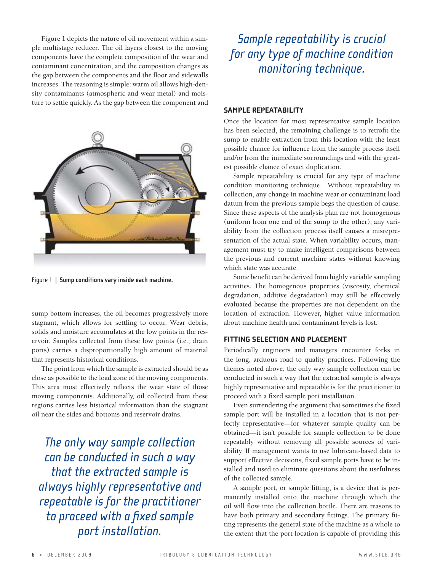Figure 1 depicts the nature of oil movement within a simple multistage reducer. The oil layers closest to the moving components have the complete composition of the wear and contaminant concentration, and the composition changes as the gap between the components and the floor and sidewalls increases. The reasoning is simple: warm oil allows high-density contaminants (atmospheric and wear metal) and moisture to settle quickly. As the gap between the component and



Figure 1 | Sump conditions vary inside each machine.

sump bottom increases, the oil becomes progressively more stagnant, which allows for settling to occur. Wear debris, solids and moisture accumulates at the low points in the reservoir. Samples collected from these low points (i.e., drain ports) carries a disproportionally high amount of material that represents historical conditions.

The point from which the sample is extracted should be as close as possible to the load zone of the moving components. This area most effectively reflects the wear state of those moving components. Additionally, oil collected from these regions carries less historical information than the stagnant oil near the sides and bottoms and reservoir drains.

*The only way sample collection can be conducted in such a way that the extracted sample is always highly representative and repeatable is for the practitioner to proceed with a fixed sample port installation.*

## *Sample repeatability is crucial for any type of machine condition monitoring technique.*

#### **SAMPLE REPEATABILITY**

Once the location for most representative sample location has been selected, the remaining challenge is to retrofit the sump to enable extraction from this location with the least possible chance for influence from the sample process itself and/or from the immediate surroundings and with the greatest possible chance of exact duplication.

Sample repeatability is crucial for any type of machine condition monitoring technique. Without repeatability in collection, any change in machine wear or contaminant load datum from the previous sample begs the question of cause. Since these aspects of the analysis plan are not homogenous (uniform from one end of the sump to the other), any variability from the collection process itself causes a misrepresentation of the actual state. When variability occurs, management must try to make intelligent comparisons between the previous and current machine states without knowing which state was accurate.

Some benefit can be derived from highly variable sampling activities. The homogenous properties (viscosity, chemical degradation, additive degradation) may still be effectively evaluated because the properties are not dependent on the location of extraction. However, higher value information about machine health and contaminant levels is lost.

#### **FITTING SELECTION AND PLACEMENT**

Periodically engineers and managers encounter forks in the long, arduous road to quality practices. Following the themes noted above, the only way sample collection can be conducted in such a way that the extracted sample is always highly representative and repeatable is for the practitioner to proceed with a fixed sample port installation.

Even surrendering the argument that sometimes the fixed sample port will be installed in a location that is not perfectly representative—for whatever sample quality can be obtained—it isn't possible for sample collection to be done repeatably without removing all possible sources of variability. If management wants to use lubricant-based data to support effective decisions, fixed sample ports have to be installed and used to eliminate questions about the usefulness of the collected sample.

A sample port, or sample fitting, is a device that is permanently installed onto the machine through which the oil will flow into the collection bottle. There are reasons to have both primary and secondary fittings. The primary fitting represents the general state of the machine as a whole to the extent that the port location is capable of providing this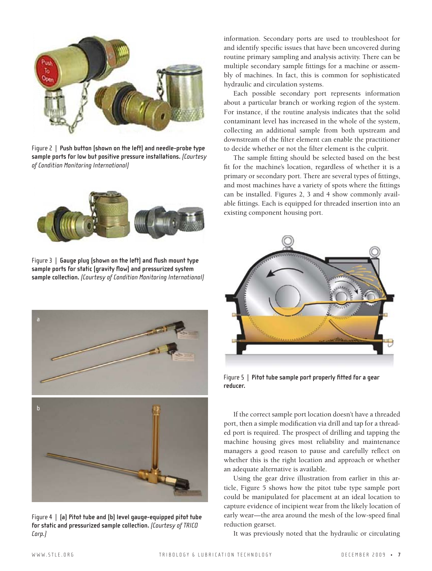

Figure 2 | Push button (shown on the left) and needle-probe type sample ports for low but positive pressure installations. (Courtesy The sample fitti *of Condition Monitoring International)* **+.3."?'1#%3<".8':5/;2'304'7%&++\$%"@&4'+8+.&9'+3975&'?/55&?."/0)'**(Courtesy of **+.3."?'1#%3<".8':5/;2'304'7%&++\$%"@&4'+8+.&9'+3975&'?/55&?."/0)'**(Courtesy of of condition nonitoring international<sub>)</sub>



Figure 3 | Gauge plug (shown on the left) and flush mount type **sample ports for static (gravity flow) and pressurized system**  sample collection. (Courtesy of Condition Monitoring International)



Figure 4 | (a) Pitot tube and (b) level gauge-equipped pitot tube **for static and pressurized sample collection.** *(Courtesy of TRICO*  **!!!!!!!!!!!!!!!!!!!!!!!!!!!!!!!!!!!!!!!!!!!!!!!!!!!!!!!!!!!!!!!!!!!"#\$!** *Corp.)*

information. Secondary ports are used to troubleshoot for and identify specific issues that have been uncovered during routine primary sampling and analysis activity. There can be multiple secondary sample fittings for a machine or assembly of machines. In fact, this is common for sophisticated hydraulic and circulation systems.

Each possible secondary port represents information about a particular branch or working region of the system. For instance, if the routine analysis indicates that the solid contaminant level has increased in the whole of the system, collecting an additional sample from both upstream and downstream of the filter element can enable the practitioner to decide whether or not the filter element is the culprit.

The sample fitting should be selected based on the best fit for the machine's location, regardless of whether it is a primary or secondary port. There are several types of fittings, and most machines have a variety of spots where the fittings can be installed. Figures 2, 3 and 4 show commonly available fittings. Each is equipped for threaded insertion into an existing component housing port.



Figure 5 | Pitot tube sample port properly fitted for a gear **reducer.**

If the correct sample port location doesn't have a threaded port, then a simple modification via drill and tap for a threaded port is required. The prospect of drilling and tapping the machine housing gives most reliability and maintenance managers a good reason to pause and carefully reflect on whether this is the right location and approach or whether an adequate alternative is available.

Using the gear drive illustration from earlier in this article, Figure 5 shows how the pitot tube type sample port could be manipulated for placement at an ideal location to capture evidence of incipient wear from the likely location of early wear—the area around the mesh of the low-speed final reduction gearset.

It was previously noted that the hydraulic or circulating